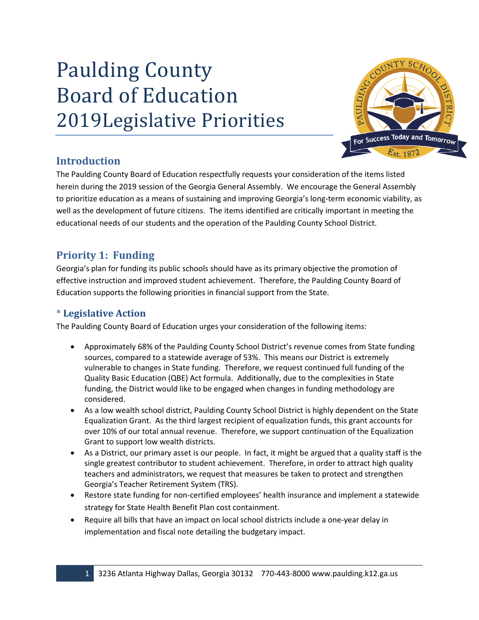# Paulding County Board of Education 2019Legislative Priorities



# **Introduction**

The Paulding County Board of Education respectfully requests your consideration of the items listed herein during the 2019 session of the Georgia General Assembly. We encourage the General Assembly to prioritize education as a means of sustaining and improving Georgia's long-term economic viability, as well as the development of future citizens. The items identified are critically important in meeting the educational needs of our students and the operation of the Paulding County School District.

# **Priority 1: Funding**

Georgia's plan for funding its public schools should have as its primary objective the promotion of effective instruction and improved student achievement. Therefore, the Paulding County Board of Education supports the following priorities in financial support from the State.

# **\* Legislative Action**

The Paulding County Board of Education urges your consideration of the following items:

- Approximately 68% of the Paulding County School District's revenue comes from State funding sources, compared to a statewide average of 53%. This means our District is extremely vulnerable to changes in State funding. Therefore, we request continued full funding of the Quality Basic Education (QBE) Act formula. Additionally, due to the complexities in State funding, the District would like to be engaged when changes in funding methodology are considered.
- As a low wealth school district, Paulding County School District is highly dependent on the State Equalization Grant. As the third largest recipient of equalization funds, this grant accounts for over 10% of our total annual revenue. Therefore, we support continuation of the Equalization Grant to support low wealth districts.
- As a District, our primary asset is our people. In fact, it might be argued that a quality staff is the single greatest contributor to student achievement. Therefore, in order to attract high quality teachers and administrators, we request that measures be taken to protect and strengthen Georgia's Teacher Retirement System (TRS).
- Restore state funding for non-certified employees' health insurance and implement a statewide strategy for State Health Benefit Plan cost containment.
- Require all bills that have an impact on local school districts include a one-year delay in implementation and fiscal note detailing the budgetary impact.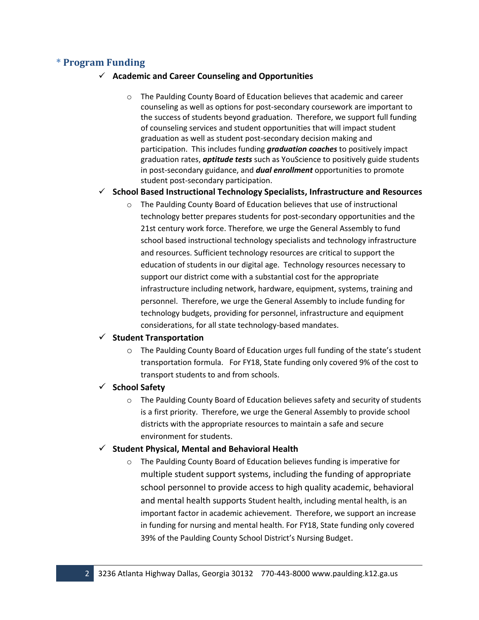## **\* Program Funding**

#### ✓ **Academic and Career Counseling and Opportunities**

The Paulding County Board of Education believes that academic and career counseling as well as options for post-secondary coursework are important to the success of students beyond graduation. Therefore, we support full funding of counseling services and student opportunities that will impact student graduation as well as student post-secondary decision making and participation. This includes funding *graduation coaches* to positively impact graduation rates, *aptitude tests* such as YouScience to positively guide students in post-secondary guidance, and *dual enrollment* opportunities to promote student post-secondary participation.

#### ✓ **School Based Instructional Technology Specialists, Infrastructure and Resources**

o The Paulding County Board of Education believes that use of instructional technology better prepares students for post-secondary opportunities and the 21st century work force. Therefore, we urge the General Assembly to fund school based instructional technology specialists and technology infrastructure and resources. Sufficient technology resources are critical to support the education of students in our digital age. Technology resources necessary to support our district come with a substantial cost for the appropriate infrastructure including network, hardware, equipment, systems, training and personnel. Therefore, we urge the General Assembly to include funding for technology budgets, providing for personnel, infrastructure and equipment considerations, for all state technology-based mandates.

## ✓ **Student Transportation**

o The Paulding County Board of Education urges full funding of the state's student transportation formula. For FY18, State funding only covered 9% of the cost to transport students to and from schools.

#### ✓ **School Safety**

o The Paulding County Board of Education believes safety and security of students is a first priority. Therefore, we urge the General Assembly to provide school districts with the appropriate resources to maintain a safe and secure environment for students.

#### ✓ **Student Physical, Mental and Behavioral Health**

o The Paulding County Board of Education believes funding is imperative for multiple student support systems, including the funding of appropriate school personnel to provide access to high quality academic, behavioral and mental health supports Student health, including mental health, is an important factor in academic achievement. Therefore, we support an increase in funding for nursing and mental health. For FY18, State funding only covered 39% of the Paulding County School District's Nursing Budget.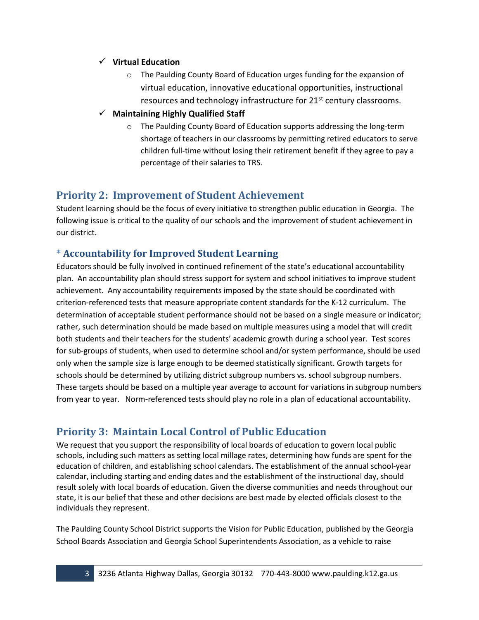### ✓ **Virtual Education**

- $\circ$  The Paulding County Board of Education urges funding for the expansion of virtual education, innovative educational opportunities, instructional resources and technology infrastructure for 21<sup>st</sup> century classrooms.
- ✓ **Maintaining Highly Qualified Staff**
	- o The Paulding County Board of Education supports addressing the long-term shortage of teachers in our classrooms by permitting retired educators to serve children full-time without losing their retirement benefit if they agree to pay a percentage of their salaries to TRS.

## **Priority 2: Improvement of Student Achievement**

Student learning should be the focus of every initiative to strengthen public education in Georgia. The following issue is critical to the quality of our schools and the improvement of student achievement in our district.

## **\* Accountability for Improved Student Learning**

Educators should be fully involved in continued refinement of the state's educational accountability plan. An accountability plan should stress support for system and school initiatives to improve student achievement. Any accountability requirements imposed by the state should be coordinated with criterion-referenced tests that measure appropriate content standards for the K-12 curriculum. The determination of acceptable student performance should not be based on a single measure or indicator; rather, such determination should be made based on multiple measures using a model that will credit both students and their teachers for the students' academic growth during a school year. Test scores for sub-groups of students, when used to determine school and/or system performance, should be used only when the sample size is large enough to be deemed statistically significant. Growth targets for schools should be determined by utilizing district subgroup numbers vs. school subgroup numbers. These targets should be based on a multiple year average to account for variations in subgroup numbers from year to year. Norm-referenced tests should play no role in a plan of educational accountability.

# **Priority 3: Maintain Local Control of Public Education**

We request that you support the responsibility of local boards of education to govern local public schools, including such matters as setting local millage rates, determining how funds are spent for the education of children, and establishing school calendars. The establishment of the annual school-year calendar, including starting and ending dates and the establishment of the instructional day, should result solely with local boards of education. Given the diverse communities and needs throughout our state, it is our belief that these and other decisions are best made by elected officials closest to the individuals they represent.

The Paulding County School District supports the Vision for Public Education, published by the Georgia School Boards Association and Georgia School Superintendents Association, as a vehicle to raise